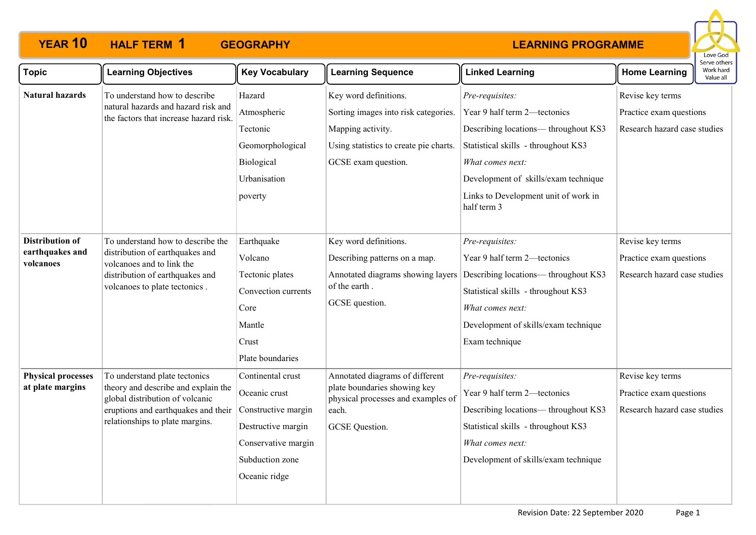

| <b>Topic</b>                                                                                                                    | <b>Learning Objectives</b>                                                    | <b>Key Vocabulary</b>             | <b>Learning Sequence</b>                                           | <b>Linked Learning</b>                              | <b>Home Learning</b>         | Work hard<br>Value all |  |
|---------------------------------------------------------------------------------------------------------------------------------|-------------------------------------------------------------------------------|-----------------------------------|--------------------------------------------------------------------|-----------------------------------------------------|------------------------------|------------------------|--|
| <b>Natural hazards</b>                                                                                                          | To understand how to describe                                                 | Hazard                            | Key word definitions.                                              | Pre-requisites:                                     | Revise key terms             |                        |  |
|                                                                                                                                 | natural hazards and hazard risk and<br>the factors that increase hazard risk. | Atmospheric                       | Sorting images into risk categories.                               | Year 9 half term 2-tectonics                        | Practice exam questions      |                        |  |
|                                                                                                                                 |                                                                               | Tectonic                          | Mapping activity.                                                  | Describing locations-throughout KS3                 | Research hazard case studies |                        |  |
|                                                                                                                                 |                                                                               | Geomorphological                  | Using statistics to create pie charts.                             | Statistical skills - throughout KS3                 |                              |                        |  |
|                                                                                                                                 |                                                                               | Biological                        | GCSE exam question.                                                | What comes next:                                    |                              |                        |  |
|                                                                                                                                 |                                                                               | Urbanisation                      |                                                                    | Development of skills/exam technique                |                              |                        |  |
|                                                                                                                                 |                                                                               | poverty                           |                                                                    | Links to Development unit of work in<br>half term 3 |                              |                        |  |
| <b>Distribution of</b>                                                                                                          | To understand how to describe the                                             | Earthquake                        | Key word definitions.                                              | Pre-requisites:                                     | Revise key terms             |                        |  |
| earthquakes and<br>distribution of earthquakes and<br>volcanoes and to link the<br>volcanoes<br>distribution of earthquakes and | Volcano                                                                       | Describing patterns on a map.     | Year 9 half term 2-tectonics                                       | Practice exam questions                             |                              |                        |  |
|                                                                                                                                 | Tectonic plates                                                               | Annotated diagrams showing layers | Describing locations-throughout KS3                                | Research hazard case studies                        |                              |                        |  |
|                                                                                                                                 | volcanoes to plate tectonics.                                                 | Convection currents               | of the earth.                                                      | Statistical skills - throughout KS3                 |                              |                        |  |
|                                                                                                                                 |                                                                               | Core                              | GCSE question.                                                     | What comes next:                                    |                              |                        |  |
|                                                                                                                                 |                                                                               | Mantle                            |                                                                    | Development of skills/exam technique                |                              |                        |  |
|                                                                                                                                 |                                                                               | Crust                             |                                                                    | Exam technique                                      |                              |                        |  |
|                                                                                                                                 |                                                                               | Plate boundaries                  |                                                                    |                                                     |                              |                        |  |
| <b>Physical processes</b>                                                                                                       | To understand plate tectonics                                                 | Continental crust                 | Annotated diagrams of different                                    | Pre-requisites:                                     | Revise key terms             |                        |  |
| at plate margins                                                                                                                | theory and describe and explain the<br>global distribution of volcanic        | Oceanic crust                     | plate boundaries showing key<br>physical processes and examples of | Year 9 half term 2-tectonics                        | Practice exam questions      |                        |  |
|                                                                                                                                 | eruptions and earthquakes and their                                           | Constructive margin               | each.                                                              | Describing locations— throughout KS3                | Research hazard case studies |                        |  |
|                                                                                                                                 | relationships to plate margins.                                               | Destructive margin                | GCSE Question.                                                     | Statistical skills - throughout KS3                 |                              |                        |  |
|                                                                                                                                 |                                                                               | Conservative margin               |                                                                    | What comes next:                                    |                              |                        |  |
|                                                                                                                                 |                                                                               | Subduction zone                   |                                                                    | Development of skills/exam technique                |                              |                        |  |
|                                                                                                                                 |                                                                               | Oceanic ridge                     |                                                                    |                                                     |                              |                        |  |
|                                                                                                                                 |                                                                               |                                   |                                                                    |                                                     |                              |                        |  |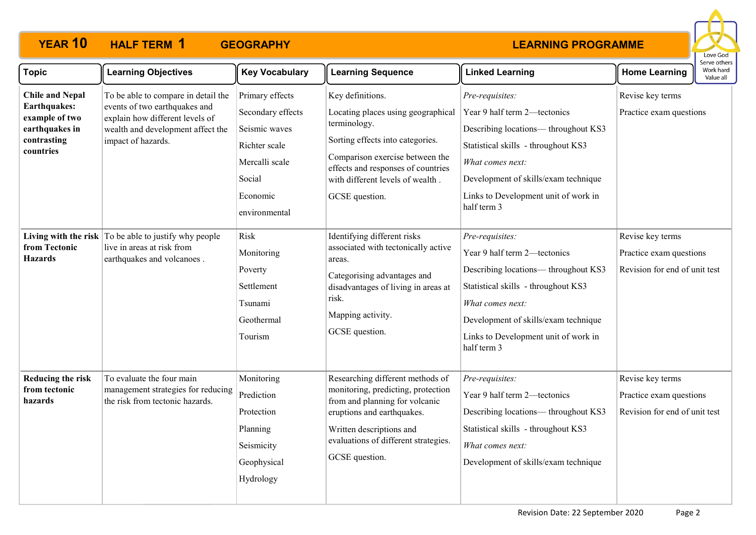

| <b>Topic</b>                                                                                           | <b>Learning Objectives</b>                                                                                                                                         | <b>Key Vocabulary</b>                                                                                                           | <b>Learning Sequence</b>                                                                                                                                                                                                                  | <b>Linked Learning</b>                                                                                                                                                                                                                           | <b>Home Learning</b>                                                         | Serve others<br>Work hard<br>Value all |
|--------------------------------------------------------------------------------------------------------|--------------------------------------------------------------------------------------------------------------------------------------------------------------------|---------------------------------------------------------------------------------------------------------------------------------|-------------------------------------------------------------------------------------------------------------------------------------------------------------------------------------------------------------------------------------------|--------------------------------------------------------------------------------------------------------------------------------------------------------------------------------------------------------------------------------------------------|------------------------------------------------------------------------------|----------------------------------------|
| <b>Chile and Nepal</b><br>Earthquakes:<br>example of two<br>earthquakes in<br>contrasting<br>countries | To be able to compare in detail the<br>events of two earthquakes and<br>explain how different levels of<br>wealth and development affect the<br>impact of hazards. | Primary effects<br>Secondary effects<br>Seismic waves<br>Richter scale<br>Mercalli scale<br>Social<br>Economic<br>environmental | Key definitions.<br>Locating places using geographical<br>terminology.<br>Sorting effects into categories.<br>Comparison exercise between the<br>effects and responses of countries<br>with different levels of wealth.<br>GCSE question. | Pre-requisites:<br>Year 9 half term 2-tectonics<br>Describing locations-throughout KS3<br>Statistical skills - throughout KS3<br>What comes next:<br>Development of skills/exam technique<br>Links to Development unit of work in<br>half term 3 | Revise key terms<br>Practice exam questions                                  |                                        |
| from Tectonic<br><b>Hazards</b>                                                                        | Living with the risk To be able to justify why people<br>live in areas at risk from<br>earthquakes and volcanoes.                                                  | Risk<br>Monitoring<br>Poverty<br>Settlement<br>Tsunami<br>Geothermal<br>Tourism                                                 | Identifying different risks<br>associated with tectonically active<br>areas.<br>Categorising advantages and<br>disadvantages of living in areas at<br>risk.<br>Mapping activity.<br>GCSE question.                                        | Pre-requisites:<br>Year 9 half term 2-tectonics<br>Describing locations-throughout KS3<br>Statistical skills - throughout KS3<br>What comes next:<br>Development of skills/exam technique<br>Links to Development unit of work in<br>half term 3 | Revise key terms<br>Practice exam questions<br>Revision for end of unit test |                                        |
| Reducing the risk<br>from tectonic<br>hazards                                                          | To evaluate the four main<br>management strategies for reducing<br>the risk from tectonic hazards.                                                                 | Monitoring<br>Prediction<br>Protection<br>Planning<br>Seismicity<br>Geophysical<br>Hydrology                                    | Researching different methods of<br>monitoring, predicting, protection<br>from and planning for volcanic<br>eruptions and earthquakes.<br>Written descriptions and<br>evaluations of different strategies.<br>GCSE question.              | Pre-requisites:<br>Year 9 half term 2-tectonics<br>Describing locations-throughout KS3<br>Statistical skills - throughout KS3<br>What comes next:<br>Development of skills/exam technique                                                        | Revise key terms<br>Practice exam questions<br>Revision for end of unit test |                                        |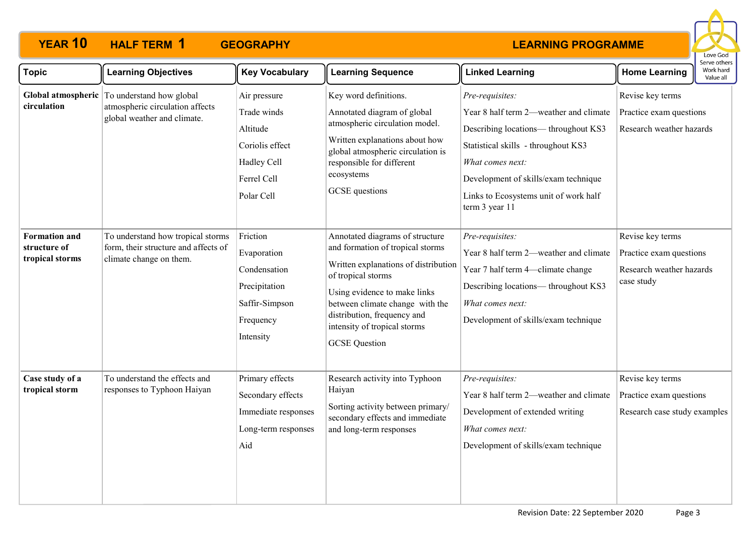

| <b>Topic</b>                                            | <b>Learning Objectives</b>                                                                                    | <b>Key Vocabulary</b>                                                                                  | <b>Learning Sequence</b>                                                                                                                                                                                                                                                                    | <b>Linked Learning</b>                                                                                                                                                                                                                                          | <b>Home Learning</b>                                                                  | כו עם טנווכו א<br>Work hard<br>Value all |  |
|---------------------------------------------------------|---------------------------------------------------------------------------------------------------------------|--------------------------------------------------------------------------------------------------------|---------------------------------------------------------------------------------------------------------------------------------------------------------------------------------------------------------------------------------------------------------------------------------------------|-----------------------------------------------------------------------------------------------------------------------------------------------------------------------------------------------------------------------------------------------------------------|---------------------------------------------------------------------------------------|------------------------------------------|--|
| circulation                                             | Global atmospheric To understand how global<br>atmospheric circulation affects<br>global weather and climate. | Air pressure<br>Trade winds<br>Altitude<br>Coriolis effect<br>Hadley Cell<br>Ferrel Cell<br>Polar Cell | Key word definitions.<br>Annotated diagram of global<br>atmospheric circulation model.<br>Written explanations about how<br>global atmospheric circulation is<br>responsible for different<br>ecosystems<br>GCSE questions                                                                  | Pre-requisites:<br>Year 8 half term 2—weather and climate<br>Describing locations— throughout KS3<br>Statistical skills - throughout KS3<br>What comes next:<br>Development of skills/exam technique<br>Links to Ecosystems unit of work half<br>term 3 year 11 | Revise key terms<br>Practice exam questions<br>Research weather hazards               |                                          |  |
| <b>Formation and</b><br>structure of<br>tropical storms | To understand how tropical storms<br>form, their structure and affects of<br>climate change on them.          | Friction<br>Evaporation<br>Condensation<br>Precipitation<br>Saffir-Simpson<br>Frequency<br>Intensity   | Annotated diagrams of structure<br>and formation of tropical storms<br>Written explanations of distribution<br>of tropical storms<br>Using evidence to make links<br>between climate change with the<br>distribution, frequency and<br>intensity of tropical storms<br><b>GCSE</b> Question | Pre-requisites:<br>Year 8 half term 2—weather and climate<br>Year 7 half term 4—climate change<br>Describing locations-throughout KS3<br>What comes next:<br>Development of skills/exam technique                                                               | Revise key terms<br>Practice exam questions<br>Research weather hazards<br>case study |                                          |  |
| Case study of a<br>tropical storm                       | To understand the effects and<br>responses to Typhoon Haiyan                                                  | Primary effects<br>Secondary effects<br>Immediate responses<br>Long-term responses<br>Aid              | Research activity into Typhoon<br>Haiyan<br>Sorting activity between primary/<br>secondary effects and immediate<br>and long-term responses                                                                                                                                                 | Pre-requisites:<br>Year 8 half term 2—weather and climate<br>Development of extended writing<br>What comes next:<br>Development of skills/exam technique                                                                                                        | Revise key terms<br>Practice exam questions<br>Research case study examples           |                                          |  |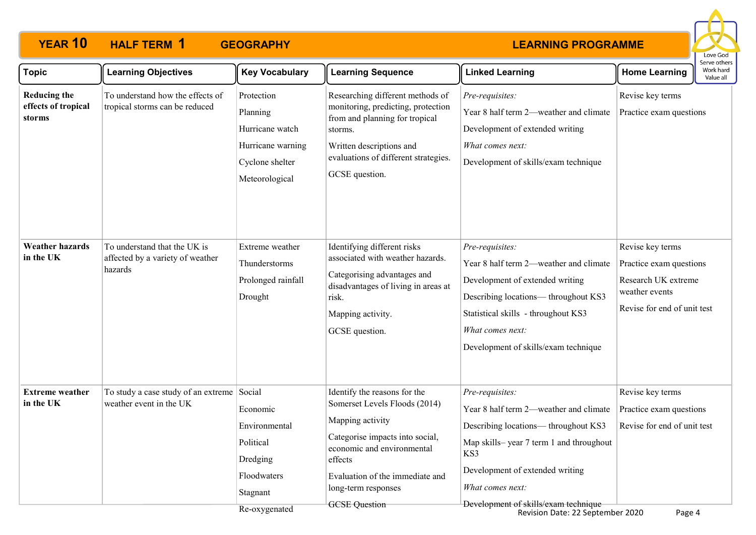

| <b>Topic</b>                                         | <b>Learning Objectives</b>                                                  | <b>Key Vocabulary</b>                                                                                    | <b>Learning Sequence</b>                                                                                                                                                                                                                        | <b>Linked Learning</b>                                                                                                                                                                                                                                                                | <b>Home Learning</b>                                                                                                | Serve others<br>Work hard<br>Value all |
|------------------------------------------------------|-----------------------------------------------------------------------------|----------------------------------------------------------------------------------------------------------|-------------------------------------------------------------------------------------------------------------------------------------------------------------------------------------------------------------------------------------------------|---------------------------------------------------------------------------------------------------------------------------------------------------------------------------------------------------------------------------------------------------------------------------------------|---------------------------------------------------------------------------------------------------------------------|----------------------------------------|
| <b>Reducing the</b><br>effects of tropical<br>storms | To understand how the effects of<br>tropical storms can be reduced          | Protection<br>Planning<br>Hurricane watch<br>Hurricane warning<br>Cyclone shelter<br>Meteorological      | Researching different methods of<br>monitoring, predicting, protection<br>from and planning for tropical<br>storms.<br>Written descriptions and<br>evaluations of different strategies.<br>GCSE question.                                       | Pre-requisites:<br>Year 8 half term 2—weather and climate<br>Development of extended writing<br>What comes next:<br>Development of skills/exam technique                                                                                                                              | Revise key terms<br>Practice exam questions                                                                         |                                        |
| <b>Weather hazards</b><br>in the UK                  | To understand that the UK is<br>affected by a variety of weather<br>hazards | Extreme weather<br>Thunderstorms<br>Prolonged rainfall<br>Drought                                        | Identifying different risks<br>associated with weather hazards.<br>Categorising advantages and<br>disadvantages of living in areas at<br>risk.<br>Mapping activity.<br>GCSE question.                                                           | Pre-requisites:<br>Year 8 half term 2-weather and climate<br>Development of extended writing<br>Describing locations— throughout KS3<br>Statistical skills - throughout KS3<br>What comes next:<br>Development of skills/exam technique                                               | Revise key terms<br>Practice exam questions<br>Research UK extreme<br>weather events<br>Revise for end of unit test |                                        |
| <b>Extreme</b> weather<br>in the UK                  | To study a case study of an extreme<br>weather event in the UK              | Social<br>Economic<br>Environmental<br>Political<br>Dredging<br>Floodwaters<br>Stagnant<br>Re-oxygenated | Identify the reasons for the<br>Somerset Levels Floods (2014)<br>Mapping activity<br>Categorise impacts into social,<br>economic and environmental<br>effects<br>Evaluation of the immediate and<br>long-term responses<br><b>GCSE</b> Question | Pre-requisites:<br>Year 8 half term 2—weather and climate<br>Describing locations-throughout KS3<br>Map skills-year 7 term 1 and throughout<br>KS3<br>Development of extended writing<br>What comes next:<br>Development of skills/exam technique<br>Revision Date: 22 September 2020 | Revise key terms<br>Practice exam questions<br>Revise for end of unit test<br>Page 4                                |                                        |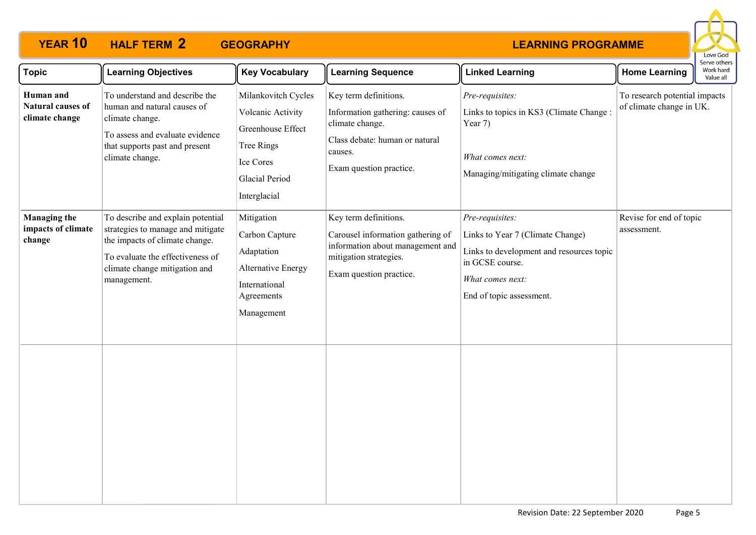

| <b>Topic</b>                                        | <b>Learning Objectives</b>                                                                                                                                                                   | <b>Key Vocabulary</b>                                                                                                      | <b>Learning Sequence</b>                                                                                                                             | <b>Linked Learning</b>                                                                                                                                             | <b>Home Learning</b>                                      | Serve others<br>Work hard<br>Value all |
|-----------------------------------------------------|----------------------------------------------------------------------------------------------------------------------------------------------------------------------------------------------|----------------------------------------------------------------------------------------------------------------------------|------------------------------------------------------------------------------------------------------------------------------------------------------|--------------------------------------------------------------------------------------------------------------------------------------------------------------------|-----------------------------------------------------------|----------------------------------------|
| Human and<br>Natural causes of<br>climate change    | To understand and describe the<br>human and natural causes of<br>climate change.<br>To assess and evaluate evidence<br>that supports past and present<br>climate change.                     | Milankovitch Cycles<br>Volcanic Activity<br>Greenhouse Effect<br>Tree Rings<br>Ice Cores<br>Glacial Period<br>Interglacial | Key term definitions.<br>Information gathering: causes of<br>climate change.<br>Class debate: human or natural<br>causes.<br>Exam question practice. | Pre-requisites:<br>Links to topics in KS3 (Climate Change:<br>Year 7)<br>What comes next:<br>Managing/mitigating climate change                                    | To research potential impacts<br>of climate change in UK. |                                        |
| <b>Managing the</b><br>impacts of climate<br>change | To describe and explain potential<br>strategies to manage and mitigate<br>the impacts of climate change.<br>To evaluate the effectiveness of<br>climate change mitigation and<br>management. | Mitigation<br>Carbon Capture<br>Adaptation<br><b>Alternative Energy</b><br>International<br>Agreements<br>Management       | Key term definitions.<br>Carousel information gathering of<br>information about management and<br>mitigation strategies.<br>Exam question practice.  | Pre-requisites:<br>Links to Year 7 (Climate Change)<br>Links to development and resources topic<br>in GCSE course.<br>What comes next:<br>End of topic assessment. | Revise for end of topic<br>assessment.                    |                                        |
|                                                     |                                                                                                                                                                                              |                                                                                                                            |                                                                                                                                                      |                                                                                                                                                                    |                                                           |                                        |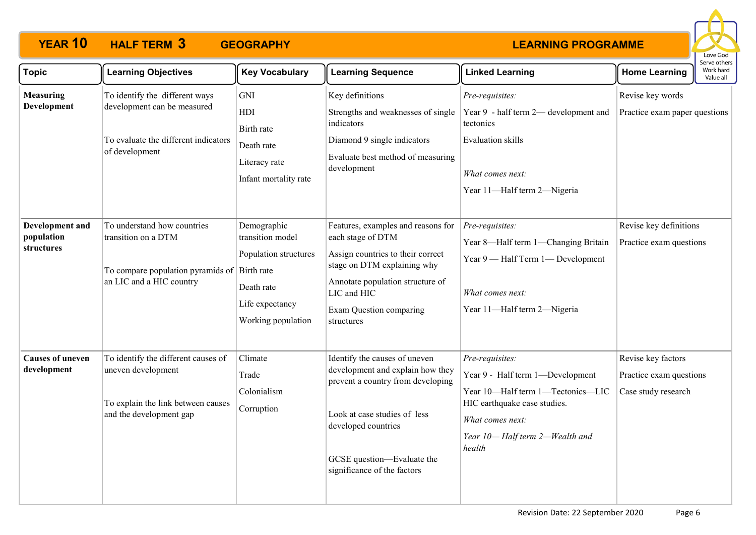

| <b>Topic</b>                                | <b>Learning Objectives</b>                                                                                                             | <b>Key Vocabulary</b>                                                                                           | <b>Learning Sequence</b>                                                                                                                                                                                                       | <b>Linked Learning</b>                                                                                                                                                                   | <b>Home Learning</b>                                                 | serve others<br>Work hard<br>Value all |
|---------------------------------------------|----------------------------------------------------------------------------------------------------------------------------------------|-----------------------------------------------------------------------------------------------------------------|--------------------------------------------------------------------------------------------------------------------------------------------------------------------------------------------------------------------------------|------------------------------------------------------------------------------------------------------------------------------------------------------------------------------------------|----------------------------------------------------------------------|----------------------------------------|
| <b>Measuring</b><br>Development             | To identify the different ways<br>development can be measured<br>To evaluate the different indicators<br>of development                | GNI<br>HDI<br>Birth rate<br>Death rate<br>Literacy rate<br>Infant mortality rate                                | Key definitions<br>Strengths and weaknesses of single<br>indicators<br>Diamond 9 single indicators<br>Evaluate best method of measuring<br>development                                                                         | Pre-requisites:<br>Year 9 - half term 2- development and<br>tectonics<br>Evaluation skills<br>What comes next:<br>Year 11-Half term 2-Nigeria                                            | Revise key words<br>Practice exam paper questions                    |                                        |
| Development and<br>population<br>structures | To understand how countries<br>transition on a DTM<br>To compare population pyramids of $\vert$ Birth rate<br>an LIC and a HIC country | Demographic<br>transition model<br>Population structures<br>Death rate<br>Life expectancy<br>Working population | Features, examples and reasons for<br>each stage of DTM<br>Assign countries to their correct<br>stage on DTM explaining why<br>Annotate population structure of<br>LIC and HIC<br><b>Exam Question comparing</b><br>structures | Pre-requisites:<br>Year 8-Half term 1-Changing Britain<br>Year 9 - Half Term 1 - Development<br>What comes next:<br>Year 11-Half term 2-Nigeria                                          | Revise key definitions<br>Practice exam questions                    |                                        |
| <b>Causes of uneven</b><br>development      | To identify the different causes of<br>uneven development<br>To explain the link between causes<br>and the development gap             | Climate<br>Trade<br>Colonialism<br>Corruption                                                                   | Identify the causes of uneven<br>development and explain how they<br>prevent a country from developing<br>Look at case studies of less<br>developed countries<br>GCSE question-Evaluate the<br>significance of the factors     | Pre-requisites:<br>Year 9 - Half term 1-Development<br>Year 10-Half term 1-Tectonics-LIC<br>HIC earthquake case studies.<br>What comes next:<br>Year 10-Half term 2-Wealth and<br>health | Revise key factors<br>Practice exam questions<br>Case study research |                                        |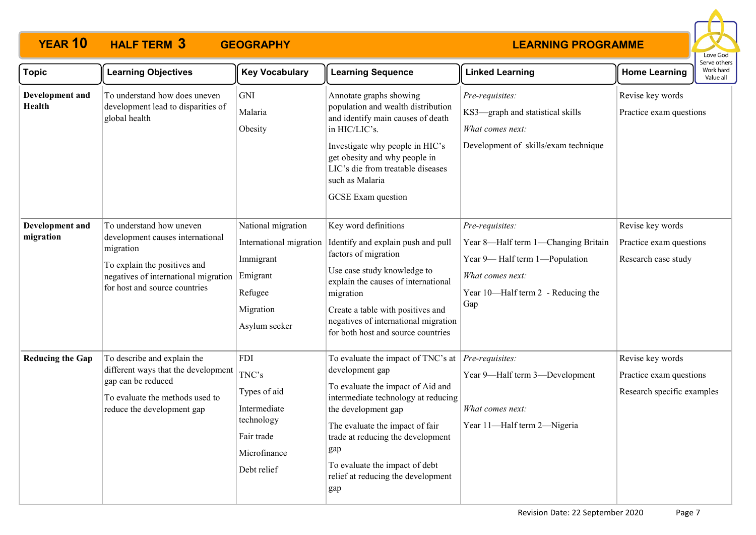

| <b>Topic</b>                     | <b>Learning Objectives</b>                                                                                                                                                         | <b>Key Vocabulary</b>                                                                                           | <b>Learning Sequence</b>                                                                                                                                                                                                                                                                                               | <b>Linked Learning</b>                                                                                                                                   | <b>Home Learning</b>                                                      | בו אב התוכונ<br>Work hard<br>Value all |
|----------------------------------|------------------------------------------------------------------------------------------------------------------------------------------------------------------------------------|-----------------------------------------------------------------------------------------------------------------|------------------------------------------------------------------------------------------------------------------------------------------------------------------------------------------------------------------------------------------------------------------------------------------------------------------------|----------------------------------------------------------------------------------------------------------------------------------------------------------|---------------------------------------------------------------------------|----------------------------------------|
| Development and<br><b>Health</b> | To understand how does uneven<br>development lead to disparities of<br>global health                                                                                               | GNI<br>Malaria<br>Obesity                                                                                       | Annotate graphs showing<br>population and wealth distribution<br>and identify main causes of death<br>in HIC/LIC's.<br>Investigate why people in HIC's<br>get obesity and why people in<br>LIC's die from treatable diseases<br>such as Malaria<br>GCSE Exam question                                                  | Pre-requisites:<br>KS3-graph and statistical skills<br>What comes next:<br>Development of skills/exam technique                                          | Revise key words<br>Practice exam questions                               |                                        |
| Development and<br>migration     | To understand how uneven<br>development causes international<br>migration<br>To explain the positives and<br>negatives of international migration<br>for host and source countries | National migration<br>International migration<br>Immigrant<br>Emigrant<br>Refugee<br>Migration<br>Asylum seeker | Key word definitions<br>Identify and explain push and pull<br>factors of migration<br>Use case study knowledge to<br>explain the causes of international<br>migration<br>Create a table with positives and<br>negatives of international migration<br>for both host and source countries                               | Pre-requisites:<br>Year 8-Half term 1-Changing Britain<br>Year 9-Half term 1-Population<br>What comes next:<br>Year 10-Half term 2 - Reducing the<br>Gap | Revise key words<br>Practice exam questions<br>Research case study        |                                        |
| <b>Reducing the Gap</b>          | To describe and explain the<br>different ways that the development<br>gap can be reduced<br>To evaluate the methods used to<br>reduce the development gap                          | <b>FDI</b><br>TNC's<br>Types of aid<br>Intermediate<br>technology<br>Fair trade<br>Microfinance<br>Debt relief  | To evaluate the impact of TNC's at<br>development gap<br>To evaluate the impact of Aid and<br>intermediate technology at reducing<br>the development gap<br>The evaluate the impact of fair<br>trade at reducing the development<br>gap<br>To evaluate the impact of debt<br>relief at reducing the development<br>gap | Pre-requisites:<br>Year 9-Half term 3-Development<br>What comes next:<br>Year 11-Half term 2-Nigeria                                                     | Revise key words<br>Practice exam questions<br>Research specific examples |                                        |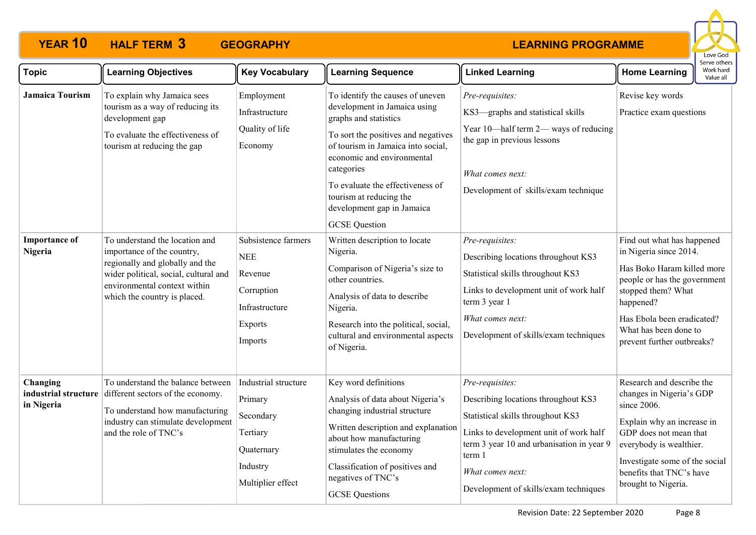

| <b>Topic</b>                    | <b>Learning Objectives</b>                                                                                                                                                                               | <b>Key Vocabulary</b>                                                                                     | <b>Learning Sequence</b>                                                                                                                                                                                                                                                                                                                | <b>Linked Learning</b>                                                                                                                                                                                                                                    | <b>Home Learning</b>                                                                                                                                                                                                                         | Work hard<br>Value all |
|---------------------------------|----------------------------------------------------------------------------------------------------------------------------------------------------------------------------------------------------------|-----------------------------------------------------------------------------------------------------------|-----------------------------------------------------------------------------------------------------------------------------------------------------------------------------------------------------------------------------------------------------------------------------------------------------------------------------------------|-----------------------------------------------------------------------------------------------------------------------------------------------------------------------------------------------------------------------------------------------------------|----------------------------------------------------------------------------------------------------------------------------------------------------------------------------------------------------------------------------------------------|------------------------|
| <b>Jamaica Tourism</b>          | To explain why Jamaica sees<br>tourism as a way of reducing its<br>development gap<br>To evaluate the effectiveness of<br>tourism at reducing the gap                                                    | Employment<br>Infrastructure<br>Quality of life<br>Economy                                                | To identify the causes of uneven<br>development in Jamaica using<br>graphs and statistics<br>To sort the positives and negatives<br>of tourism in Jamaica into social,<br>economic and environmental<br>categories<br>To evaluate the effectiveness of<br>tourism at reducing the<br>development gap in Jamaica<br><b>GCSE</b> Question | Pre-requisites:<br>KS3-graphs and statistical skills<br>Year 10-half term 2- ways of reducing<br>the gap in previous lessons<br>What comes next:<br>Development of skills/exam technique                                                                  | Revise key words<br>Practice exam questions                                                                                                                                                                                                  |                        |
| <b>Importance of</b><br>Nigeria | To understand the location and<br>importance of the country,<br>regionally and globally and the<br>wider political, social, cultural and<br>environmental context within<br>which the country is placed. | Subsistence farmers<br><b>NEE</b><br>Revenue<br>Corruption<br>Infrastructure<br><b>Exports</b><br>Imports | Written description to locate<br>Nigeria.<br>Comparison of Nigeria's size to<br>other countries.<br>Analysis of data to describe<br>Nigeria.<br>Research into the political, social,<br>cultural and environmental aspects<br>of Nigeria.                                                                                               | Pre-requisites:<br>Describing locations throughout KS3<br>Statistical skills throughout KS3<br>Links to development unit of work half<br>term 3 year 1<br>What comes next:<br>Development of skills/exam techniques                                       | Find out what has happened<br>in Nigeria since 2014.<br>Has Boko Haram killed more<br>people or has the government<br>stopped them? What<br>happened?<br>Has Ebola been eradicated?<br>What has been done to<br>prevent further outbreaks?   |                        |
| Changing<br>in Nigeria          | To understand the balance between<br>industrial structure different sectors of the economy.<br>To understand how manufacturing<br>industry can stimulate development<br>and the role of TNC's            | Industrial structure<br>Primary<br>Secondary<br>Tertiary<br>Quaternary<br>Industry<br>Multiplier effect   | Key word definitions<br>Analysis of data about Nigeria's<br>changing industrial structure<br>Written description and explanation<br>about how manufacturing<br>stimulates the economy<br>Classification of positives and<br>negatives of TNC's<br><b>GCSE</b> Questions                                                                 | Pre-requisites:<br>Describing locations throughout KS3<br>Statistical skills throughout KS3<br>Links to development unit of work half<br>term 3 year 10 and urbanisation in year 9<br>term 1<br>What comes next:<br>Development of skills/exam techniques | Research and describe the<br>changes in Nigeria's GDP<br>since 2006.<br>Explain why an increase in<br>GDP does not mean that<br>everybody is wealthier.<br>Investigate some of the social<br>benefits that TNC's have<br>brought to Nigeria. |                        |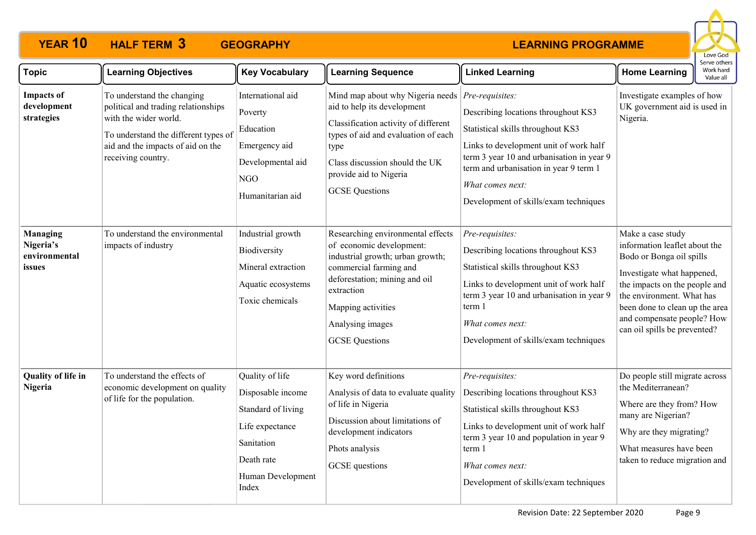

| <b>Topic</b>                                            | <b>Learning Objectives</b>                                                                                                                                                                    | <b>Key Vocabulary</b>                                                                                                                   | <b>Learning Sequence</b>                                                                                                                                                                                                                      | <b>Linked Learning</b>                                                                                                                                                                                                                                                                     | <b>Home Learning</b>                                                                                                                                                                                                                                                       | serve others<br>Work hard<br>Value all |
|---------------------------------------------------------|-----------------------------------------------------------------------------------------------------------------------------------------------------------------------------------------------|-----------------------------------------------------------------------------------------------------------------------------------------|-----------------------------------------------------------------------------------------------------------------------------------------------------------------------------------------------------------------------------------------------|--------------------------------------------------------------------------------------------------------------------------------------------------------------------------------------------------------------------------------------------------------------------------------------------|----------------------------------------------------------------------------------------------------------------------------------------------------------------------------------------------------------------------------------------------------------------------------|----------------------------------------|
| <b>Impacts of</b><br>development<br>strategies          | To understand the changing<br>political and trading relationships<br>with the wider world.<br>To understand the different types of<br>aid and the impacts of aid on the<br>receiving country. | International aid<br>Poverty<br>Education<br>Emergency aid<br>Developmental aid<br>NGO<br>Humanitarian aid                              | Mind map about why Nigeria needs<br>aid to help its development<br>Classification activity of different<br>types of aid and evaluation of each<br>type<br>Class discussion should the UK<br>provide aid to Nigeria<br><b>GCSE</b> Questions   | $Pre-requistes:$<br>Describing locations throughout KS3<br>Statistical skills throughout KS3<br>Links to development unit of work half<br>term 3 year 10 and urbanisation in year 9<br>term and urbanisation in year 9 term 1<br>What comes next:<br>Development of skills/exam techniques | Investigate examples of how<br>UK government aid is used in<br>Nigeria.                                                                                                                                                                                                    |                                        |
| <b>Managing</b><br>Nigeria's<br>environmental<br>issues | To understand the environmental<br>impacts of industry                                                                                                                                        | Industrial growth<br>Biodiversity<br>Mineral extraction<br>Aquatic ecosystems<br>Toxic chemicals                                        | Researching environmental effects<br>of economic development:<br>industrial growth; urban growth;<br>commercial farming and<br>deforestation; mining and oil<br>extraction<br>Mapping activities<br>Analysing images<br><b>GCSE</b> Questions | Pre-requisites:<br>Describing locations throughout KS3<br>Statistical skills throughout KS3<br>Links to development unit of work half<br>term 3 year 10 and urbanisation in year 9<br>term 1<br>What comes next:<br>Development of skills/exam techniques                                  | Make a case study<br>information leaflet about the<br>Bodo or Bonga oil spills<br>Investigate what happened,<br>the impacts on the people and<br>the environment. What has<br>been done to clean up the area<br>and compensate people? How<br>can oil spills be prevented? |                                        |
| <b>Quality of life in</b><br>Nigeria                    | To understand the effects of<br>economic development on quality<br>of life for the population.                                                                                                | Quality of life<br>Disposable income<br>Standard of living<br>Life expectance<br>Sanitation<br>Death rate<br>Human Development<br>Index | Key word definitions<br>Analysis of data to evaluate quality<br>of life in Nigeria<br>Discussion about limitations of<br>development indicators<br>Phots analysis<br>GCSE questions                                                           | Pre-requisites:<br>Describing locations throughout KS3<br>Statistical skills throughout KS3<br>Links to development unit of work half<br>term 3 year 10 and population in year 9<br>term 1<br>What comes next:<br>Development of skills/exam techniques                                    | Do people still migrate across<br>the Mediterranean?<br>Where are they from? How<br>many are Nigerian?<br>Why are they migrating?<br>What measures have been<br>taken to reduce migration and                                                                              |                                        |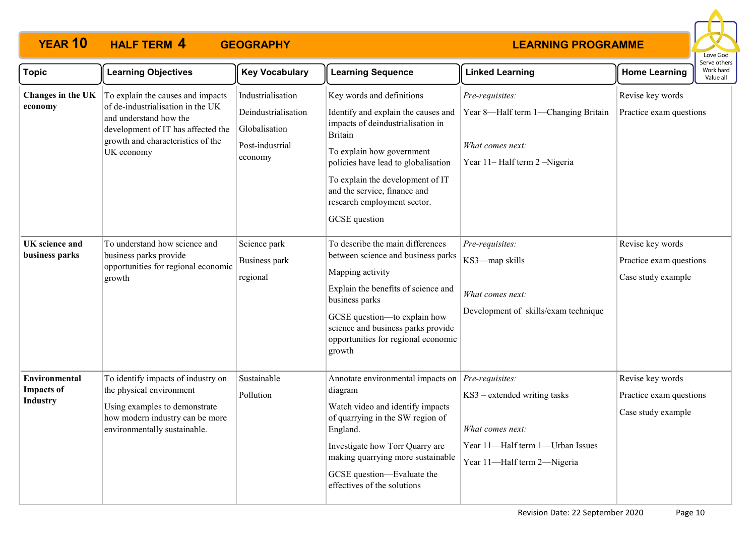

| <b>Topic</b>                                                 | <b>Learning Objectives</b>                                                                                                                                                                | <b>Key Vocabulary</b>                                                                   | <b>Learning Sequence</b>                                                                                                                                                                                                                                                                                        | <b>Linked Learning</b>                                                                                              | <b>Home Learning</b>                                              | .<br>Work hard<br>Value all |
|--------------------------------------------------------------|-------------------------------------------------------------------------------------------------------------------------------------------------------------------------------------------|-----------------------------------------------------------------------------------------|-----------------------------------------------------------------------------------------------------------------------------------------------------------------------------------------------------------------------------------------------------------------------------------------------------------------|---------------------------------------------------------------------------------------------------------------------|-------------------------------------------------------------------|-----------------------------|
| Changes in the UK<br>economy                                 | To explain the causes and impacts<br>of de-industrialisation in the UK<br>and understand how the<br>development of IT has affected the<br>growth and characteristics of the<br>UK economy | Industrialisation<br>Deindustrialisation<br>Globalisation<br>Post-industrial<br>economy | Key words and definitions<br>Identify and explain the causes and<br>impacts of deindustrialisation in<br><b>Britain</b><br>To explain how government<br>policies have lead to globalisation<br>To explain the development of IT<br>and the service, finance and<br>research employment sector.<br>GCSE question | Pre-requisites:<br>Year 8-Half term 1-Changing Britain<br>What comes next:<br>Year 11– Half term 2 –Nigeria         | Revise key words<br>Practice exam questions                       |                             |
| UK science and<br>business parks                             | To understand how science and<br>business parks provide<br>opportunities for regional economic<br>growth                                                                                  | Science park<br>Business park<br>regional                                               | To describe the main differences<br>between science and business parks<br>Mapping activity<br>Explain the benefits of science and<br>business parks<br>GCSE question-to explain how<br>science and business parks provide<br>opportunities for regional economic<br>growth                                      | Pre-requisites:<br>KS3-map skills<br>What comes next:<br>Development of skills/exam technique                       | Revise key words<br>Practice exam questions<br>Case study example |                             |
| <b>Environmental</b><br><b>Impacts of</b><br><b>Industry</b> | To identify impacts of industry on<br>the physical environment<br>Using examples to demonstrate<br>how modern industry can be more<br>environmentally sustainable.                        | Sustainable<br>Pollution                                                                | Annotate environmental impacts on <i>Pre-requisites</i> :<br>diagram<br>Watch video and identify impacts<br>of quarrying in the SW region of<br>England.<br>Investigate how Torr Quarry are<br>making quarrying more sustainable<br>GCSE question-Evaluate the<br>effectives of the solutions                   | KS3 – extended writing tasks<br>What comes next:<br>Year 11-Half term 1-Urban Issues<br>Year 11-Half term 2-Nigeria | Revise key words<br>Practice exam questions<br>Case study example |                             |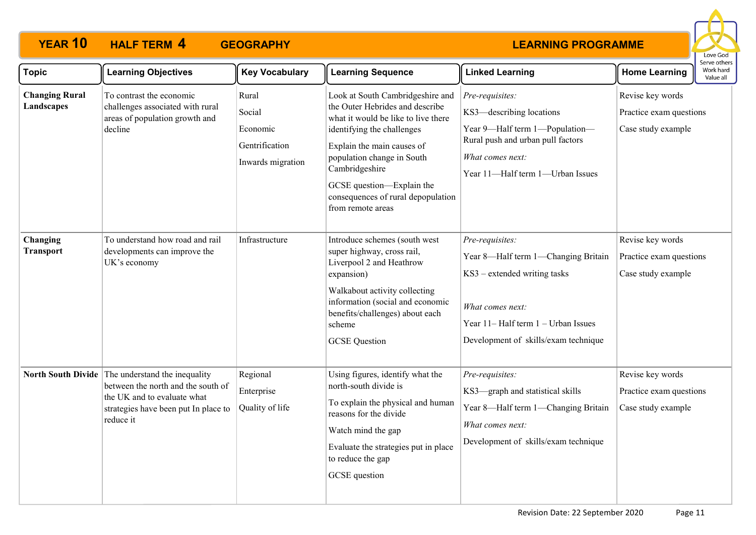

| <b>Topic</b>                        | <b>Learning Objectives</b>                                                                                                                                                 | <b>Key Vocabulary</b>                                              | <b>Learning Sequence</b>                                                                                                                                                                                                                                                                                       | <b>Linked Learning</b>                                                                                                                                                                    | <b>Home Learning</b>                                              | בו עם טנוופו<br>Work hard<br>Value all |
|-------------------------------------|----------------------------------------------------------------------------------------------------------------------------------------------------------------------------|--------------------------------------------------------------------|----------------------------------------------------------------------------------------------------------------------------------------------------------------------------------------------------------------------------------------------------------------------------------------------------------------|-------------------------------------------------------------------------------------------------------------------------------------------------------------------------------------------|-------------------------------------------------------------------|----------------------------------------|
| <b>Changing Rural</b><br>Landscapes | To contrast the economic<br>challenges associated with rural<br>areas of population growth and<br>decline                                                                  | Rural<br>Social<br>Economic<br>Gentrification<br>Inwards migration | Look at South Cambridgeshire and<br>the Outer Hebrides and describe<br>what it would be like to live there<br>identifying the challenges<br>Explain the main causes of<br>population change in South<br>Cambridgeshire<br>GCSE question-Explain the<br>consequences of rural depopulation<br>from remote areas | Pre-requisites:<br>KS3-describing locations<br>Year 9-Half term 1-Population-<br>Rural push and urban pull factors<br>What comes next:<br>Year 11-Half term 1-Urban Issues                | Revise key words<br>Practice exam questions<br>Case study example |                                        |
| Changing<br><b>Transport</b>        | To understand how road and rail<br>developments can improve the<br>UK's economy                                                                                            | Infrastructure                                                     | Introduce schemes (south west<br>super highway, cross rail,<br>Liverpool 2 and Heathrow<br>expansion)<br>Walkabout activity collecting<br>information (social and economic<br>benefits/challenges) about each<br>scheme<br><b>GCSE</b> Question                                                                | Pre-requisites:<br>Year 8-Half term 1-Changing Britain<br>KS3 – extended writing tasks<br>What comes next:<br>Year 11- Half term 1 - Urban Issues<br>Development of skills/exam technique | Revise key words<br>Practice exam questions<br>Case study example |                                        |
|                                     | North South Divide The understand the inequality<br>between the north and the south of<br>the UK and to evaluate what<br>strategies have been put In place to<br>reduce it | Regional<br>Enterprise<br>Quality of life                          | Using figures, identify what the<br>north-south divide is<br>To explain the physical and human<br>reasons for the divide<br>Watch mind the gap<br>Evaluate the strategies put in place<br>to reduce the gap<br>GCSE question                                                                                   | Pre-requisites:<br>KS3—graph and statistical skills<br>Year 8-Half term 1-Changing Britain<br>What comes next:<br>Development of skills/exam technique                                    | Revise key words<br>Practice exam questions<br>Case study example |                                        |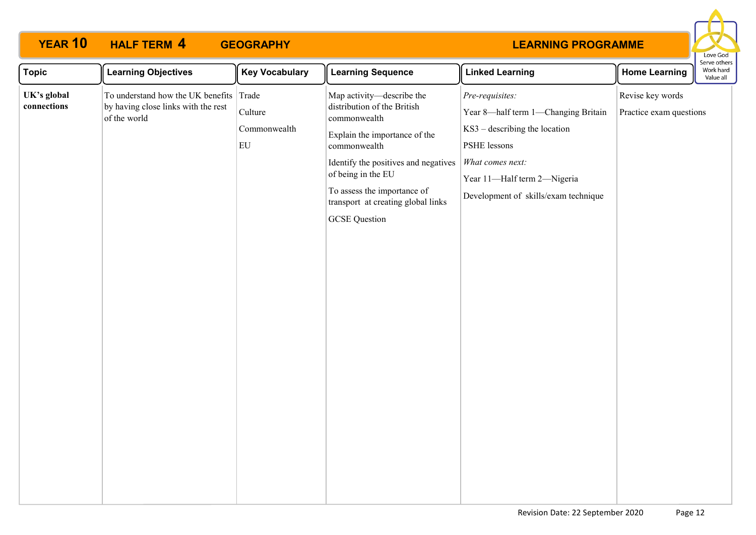

| <b>Topic</b>               | <b>Learning Objectives</b>                                                                     | <b>Key Vocabulary</b>         | <b>Learning Sequence</b>                                                                                                                                                                                                                                                             | <b>Linked Learning</b>                                                                                                                                                                               | <b>Home Learning</b>                        | בו אב התובו א<br>Work hard<br>Value all |  |
|----------------------------|------------------------------------------------------------------------------------------------|-------------------------------|--------------------------------------------------------------------------------------------------------------------------------------------------------------------------------------------------------------------------------------------------------------------------------------|------------------------------------------------------------------------------------------------------------------------------------------------------------------------------------------------------|---------------------------------------------|-----------------------------------------|--|
| UK's global<br>connections | To understand how the UK benefits Trade<br>by having close links with the rest<br>of the world | Culture<br>Commonwealth<br>EU | Map activity-describe the<br>distribution of the British<br>commonwealth<br>Explain the importance of the<br>commonwealth<br>Identify the positives and negatives<br>of being in the EU<br>To assess the importance of<br>transport at creating global links<br><b>GCSE</b> Question | Pre-requisites:<br>Year 8-half term 1-Changing Britain<br>$KS3 - describing the location$<br>PSHE lessons<br>What comes next:<br>Year 11-Half term 2-Nigeria<br>Development of skills/exam technique | Revise key words<br>Practice exam questions |                                         |  |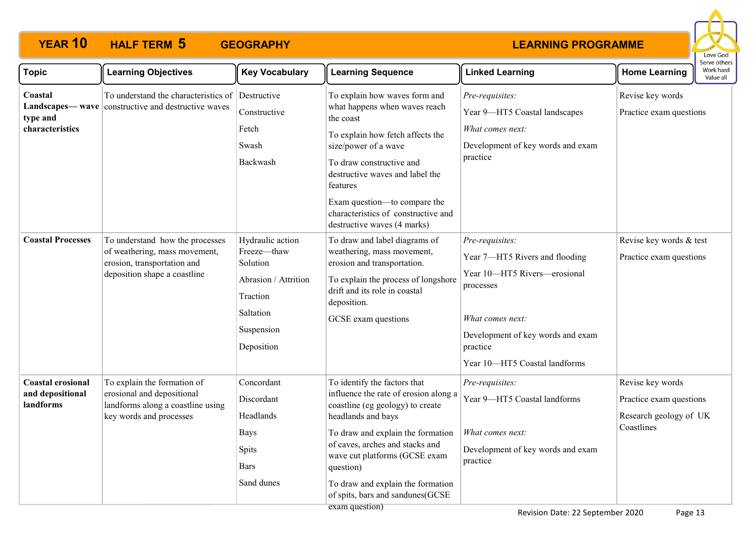

| <b>Topic</b>                                              | <b>Learning Objectives</b>                                                                                                      | <b>Key Vocabulary</b>                                                                                                    | <b>Learning Sequence</b>                                                                                                                                                                                                                                                                                                                                                                         | <b>Linked Learning</b>                                                                                                                                                                               | <b>Home Learning</b>                                                                | Serve others<br>Work hard<br>Value all |
|-----------------------------------------------------------|---------------------------------------------------------------------------------------------------------------------------------|--------------------------------------------------------------------------------------------------------------------------|--------------------------------------------------------------------------------------------------------------------------------------------------------------------------------------------------------------------------------------------------------------------------------------------------------------------------------------------------------------------------------------------------|------------------------------------------------------------------------------------------------------------------------------------------------------------------------------------------------------|-------------------------------------------------------------------------------------|----------------------------------------|
| Coastal<br>type and<br>characteristics                    | To understand the characteristics of<br><b>Landscapes—wave</b> constructive and destructive waves                               | Destructive<br>Constructive<br>Fetch<br>Swash<br>Backwash                                                                | To explain how waves form and<br>what happens when waves reach<br>the coast<br>To explain how fetch affects the<br>size/power of a wave<br>To draw constructive and<br>destructive waves and label the<br>features<br>Exam question—to compare the<br>characteristics of constructive and<br>destructive waves (4 marks)                                                                         | Pre-requisites:<br>Year 9-HT5 Coastal landscapes<br>What comes next:<br>Development of key words and exam<br>practice                                                                                | Revise key words<br>Practice exam questions                                         |                                        |
| <b>Coastal Processes</b>                                  | To understand how the processes<br>of weathering, mass movement,<br>erosion, transportation and<br>deposition shape a coastline | Hydraulic action<br>Freeze-thaw<br>Solution<br>Abrasion / Attrition<br>Traction<br>Saltation<br>Suspension<br>Deposition | To draw and label diagrams of<br>weathering, mass movement,<br>erosion and transportation.<br>To explain the process of longshore<br>drift and its role in coastal<br>deposition.<br>GCSE exam questions                                                                                                                                                                                         | Pre-requisites:<br>Year 7-HT5 Rivers and flooding<br>Year 10-HT5 Rivers-erosional<br>processes<br>What comes next:<br>Development of key words and exam<br>practice<br>Year 10-HT5 Coastal landforms | Revise key words & test<br>Practice exam questions                                  |                                        |
| <b>Coastal erosional</b><br>and depositional<br>landforms | To explain the formation of<br>erosional and depositional<br>landforms along a coastline using<br>key words and processes       | Concordant<br>Discordant<br>Headlands<br><b>Bays</b><br><b>Spits</b><br>Bars<br>Sand dunes                               | To identify the factors that<br>influence the rate of erosion along a<br>coastline (eg geology) to create<br>headlands and bays<br>To draw and explain the formation<br>of caves, arches and stacks and<br>wave cut platforms (GCSE exam<br>question)<br>To draw and explain the formation<br>of spits, bars and sandunes(GCSE<br>$\alpha$ $\alpha$ $\alpha$ $\alpha$ $\alpha$ $\alpha$ $\alpha$ | Pre-requisites:<br>Year 9-HT5 Coastal landforms<br>What comes next:<br>Development of key words and exam<br>practice                                                                                 | Revise key words<br>Practice exam questions<br>Research geology of UK<br>Coastlines |                                        |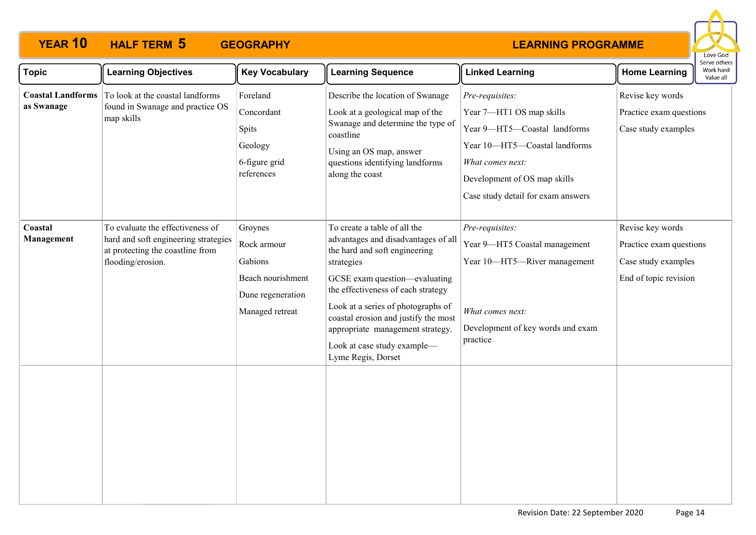

| <b>Topic</b>                           | <b>Learning Objectives</b>                                                                                                        | <b>Key Vocabulary</b>                                                                          | <b>Learning Sequence</b>                                                                                                                                                                                                                                                                                                                                         | <b>Linked Learning</b>                                                                                                                                                                                 | <b>Home Learning</b>                                                                        | serve others<br>Work hard<br>Value all |
|----------------------------------------|-----------------------------------------------------------------------------------------------------------------------------------|------------------------------------------------------------------------------------------------|------------------------------------------------------------------------------------------------------------------------------------------------------------------------------------------------------------------------------------------------------------------------------------------------------------------------------------------------------------------|--------------------------------------------------------------------------------------------------------------------------------------------------------------------------------------------------------|---------------------------------------------------------------------------------------------|----------------------------------------|
| <b>Coastal Landforms</b><br>as Swanage | To look at the coastal landforms<br>found in Swanage and practice OS<br>map skills                                                | Foreland<br>Concordant<br>Spits<br>Geology<br>6-figure grid<br>references                      | Describe the location of Swanage<br>Look at a geological map of the<br>Swanage and determine the type of<br>coastline<br>Using an OS map, answer<br>questions identifying landforms<br>along the coast                                                                                                                                                           | Pre-requisites:<br>Year 7-HT1 OS map skills<br>Year 9-HT5-Coastal landforms<br>Year 10-HT5-Coastal landforms<br>What comes next:<br>Development of OS map skills<br>Case study detail for exam answers | Revise key words<br>Practice exam questions<br>Case study examples                          |                                        |
| Coastal<br>Management                  | To evaluate the effectiveness of<br>hard and soft engineering strategies<br>at protecting the coastline from<br>flooding/erosion. | Groynes<br>Rock armour<br>Gabions<br>Beach nourishment<br>Dune regeneration<br>Managed retreat | To create a table of all the<br>advantages and disadvantages of all<br>the hard and soft engineering<br>strategies<br>GCSE exam question-evaluating<br>the effectiveness of each strategy<br>Look at a series of photographs of<br>coastal erosion and justify the most<br>appropriate management strategy.<br>Look at case study example-<br>Lyme Regis, Dorset | Pre-requisites:<br>Year 9-HT5 Coastal management<br>Year 10-HT5-River management<br>What comes next:<br>Development of key words and exam<br>practice                                                  | Revise key words<br>Practice exam questions<br>Case study examples<br>End of topic revision |                                        |
|                                        |                                                                                                                                   |                                                                                                |                                                                                                                                                                                                                                                                                                                                                                  |                                                                                                                                                                                                        |                                                                                             |                                        |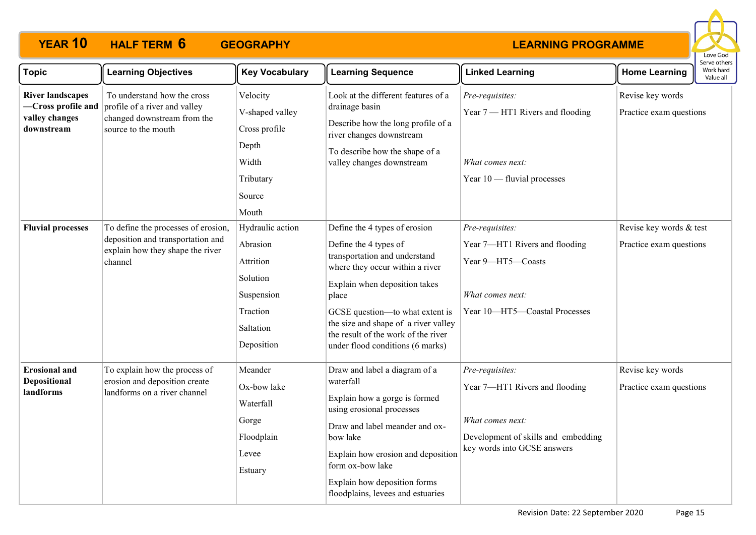

| <b>Topic</b>                                                                  | <b>Learning Objectives</b>                                                                                              | <b>Key Vocabulary</b>                                                                                      | <b>Learning Sequence</b>                                                                                                                                                                                                                                                                                                   | <b>Linked Learning</b>                                                                                                                      | <b>Home Learning</b>                               | Work hard<br>Value all |
|-------------------------------------------------------------------------------|-------------------------------------------------------------------------------------------------------------------------|------------------------------------------------------------------------------------------------------------|----------------------------------------------------------------------------------------------------------------------------------------------------------------------------------------------------------------------------------------------------------------------------------------------------------------------------|---------------------------------------------------------------------------------------------------------------------------------------------|----------------------------------------------------|------------------------|
| <b>River landscapes</b><br>-Cross profile and<br>valley changes<br>downstream | To understand how the cross<br>profile of a river and valley<br>changed downstream from the<br>source to the mouth      | Velocity<br>V-shaped valley<br>Cross profile<br>Depth<br>Width<br>Tributary<br>Source<br>Mouth             | Look at the different features of a<br>drainage basin<br>Describe how the long profile of a<br>river changes downstream<br>To describe how the shape of a<br>valley changes downstream                                                                                                                                     | Pre-requisites:<br>Year 7 - HT1 Rivers and flooding<br>What comes next:<br>Year $10$ - fluvial processes                                    | Revise key words<br>Practice exam questions        |                        |
| <b>Fluvial processes</b>                                                      | To define the processes of erosion,<br>deposition and transportation and<br>explain how they shape the river<br>channel | Hydraulic action<br>Abrasion<br>Attrition<br>Solution<br>Suspension<br>Traction<br>Saltation<br>Deposition | Define the 4 types of erosion<br>Define the 4 types of<br>transportation and understand<br>where they occur within a river<br>Explain when deposition takes<br>place<br>GCSE question-to what extent is<br>the size and shape of a river valley<br>the result of the work of the river<br>under flood conditions (6 marks) | Pre-requisites:<br>Year 7-HT1 Rivers and flooding<br>Year 9-HT5-Coasts<br>What comes next:<br>Year 10-HT5-Coastal Processes                 | Revise key words & test<br>Practice exam questions |                        |
| <b>Erosional and</b><br>Depositional<br>landforms                             | To explain how the process of<br>erosion and deposition create<br>landforms on a river channel                          | Meander<br>Ox-bow lake<br>Waterfall<br>Gorge<br>Floodplain<br>Levee<br>Estuary                             | Draw and label a diagram of a<br>waterfall<br>Explain how a gorge is formed<br>using erosional processes<br>Draw and label meander and ox-<br>bow lake<br>Explain how erosion and deposition<br>form ox-bow lake<br>Explain how deposition forms<br>floodplains, levees and estuaries                                      | Pre-requisites:<br>Year 7-HT1 Rivers and flooding<br>What comes next:<br>Development of skills and embedding<br>key words into GCSE answers | Revise key words<br>Practice exam questions        |                        |